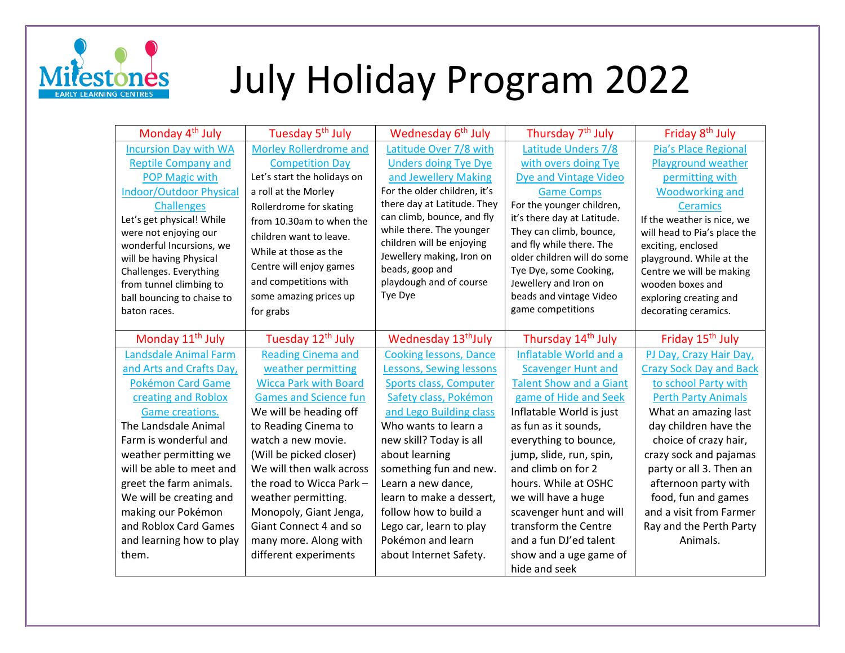

## July Holiday Program 2022

| Monday 4 <sup>th</sup> July                           | Tuesday 5 <sup>th</sup> July  | Wednesday 6 <sup>th</sup> July               | Thursday 7 <sup>th</sup> July                   | Friday 8 <sup>th</sup> July                  |
|-------------------------------------------------------|-------------------------------|----------------------------------------------|-------------------------------------------------|----------------------------------------------|
| <b>Incursion Day with WA</b>                          | <b>Morley Rollerdrome and</b> | Latitude Over 7/8 with                       | Latitude Unders 7/8                             | Pia's Place Regional                         |
| <b>Reptile Company and</b>                            | <b>Competition Day</b>        | <b>Unders doing Tye Dye</b>                  | with overs doing Tye                            | Playground weather                           |
| <b>POP Magic with</b>                                 | Let's start the holidays on   | and Jewellery Making                         | <b>Dye and Vintage Video</b>                    | permitting with                              |
| <b>Indoor/Outdoor Physical</b>                        | a roll at the Morley          | For the older children, it's                 | <b>Game Comps</b>                               | <b>Woodworking and</b>                       |
| <b>Challenges</b>                                     | Rollerdrome for skating       | there day at Latitude. They                  | For the younger children,                       | <b>Ceramics</b>                              |
| Let's get physical! While                             | from 10.30am to when the      | can climb, bounce, and fly                   | it's there day at Latitude.                     | If the weather is nice, we                   |
| were not enjoying our                                 | children want to leave.       | while there. The younger                     | They can climb, bounce,                         | will head to Pia's place the                 |
| wonderful Incursions, we                              | While at those as the         | children will be enjoying                    | and fly while there. The                        | exciting, enclosed                           |
| will be having Physical                               | Centre will enjoy games       | Jewellery making, Iron on<br>beads, goop and | older children will do some                     | playground. While at the                     |
| Challenges. Everything                                | and competitions with         | playdough and of course                      | Tye Dye, some Cooking,<br>Jewellery and Iron on | Centre we will be making<br>wooden boxes and |
| from tunnel climbing to<br>ball bouncing to chaise to | some amazing prices up        | Tye Dye                                      | beads and vintage Video                         | exploring creating and                       |
| baton races.                                          | for grabs                     |                                              | game competitions                               | decorating ceramics.                         |
|                                                       |                               |                                              |                                                 |                                              |
| Monday 11 <sup>th</sup> July                          | Tuesday 12 <sup>th</sup> July | Wednesday 13 <sup>th</sup> July              | Thursday 14 <sup>th</sup> July                  | Friday 15 <sup>th</sup> July                 |
| Landsdale Animal Farm                                 | <b>Reading Cinema and</b>     | <b>Cooking lessons, Dance</b>                | Inflatable World and a                          | PJ Day, Crazy Hair Day,                      |
| and Arts and Crafts Day,                              | weather permitting            | Lessons, Sewing lessons                      | <b>Scavenger Hunt and</b>                       | <b>Crazy Sock Day and Back</b>               |
| <b>Pokémon Card Game</b>                              | <b>Wicca Park with Board</b>  | Sports class, Computer                       | <b>Talent Show and a Giant</b>                  | to school Party with                         |
| creating and Roblox                                   | <b>Games and Science fun</b>  | Safety class, Pokémon                        | game of Hide and Seek                           | <b>Perth Party Animals</b>                   |
| Game creations.                                       | We will be heading off        | and Lego Building class                      | Inflatable World is just                        | What an amazing last                         |
| The Landsdale Animal                                  | to Reading Cinema to          | Who wants to learn a                         | as fun as it sounds,                            | day children have the                        |
| Farm is wonderful and                                 | watch a new movie.            | new skill? Today is all                      | everything to bounce,                           | choice of crazy hair,                        |
| weather permitting we                                 | (Will be picked closer)       |                                              |                                                 |                                              |
|                                                       |                               | about learning                               | jump, slide, run, spin,                         | crazy sock and pajamas                       |
| will be able to meet and                              | We will then walk across      | something fun and new.                       | and climb on for 2                              | party or all 3. Then an                      |
| greet the farm animals.                               | the road to Wicca Park -      | Learn a new dance,                           | hours. While at OSHC                            | afternoon party with                         |
| We will be creating and                               | weather permitting.           | learn to make a dessert,                     | we will have a huge                             | food, fun and games                          |
| making our Pokémon                                    | Monopoly, Giant Jenga,        | follow how to build a                        | scavenger hunt and will                         | and a visit from Farmer                      |
| and Roblox Card Games                                 | Giant Connect 4 and so        | Lego car, learn to play                      | transform the Centre                            | Ray and the Perth Party                      |
| and learning how to play                              | many more. Along with         | Pokémon and learn                            | and a fun DJ'ed talent                          | Animals.                                     |
| them.                                                 | different experiments         | about Internet Safety.                       | show and a uge game of                          |                                              |